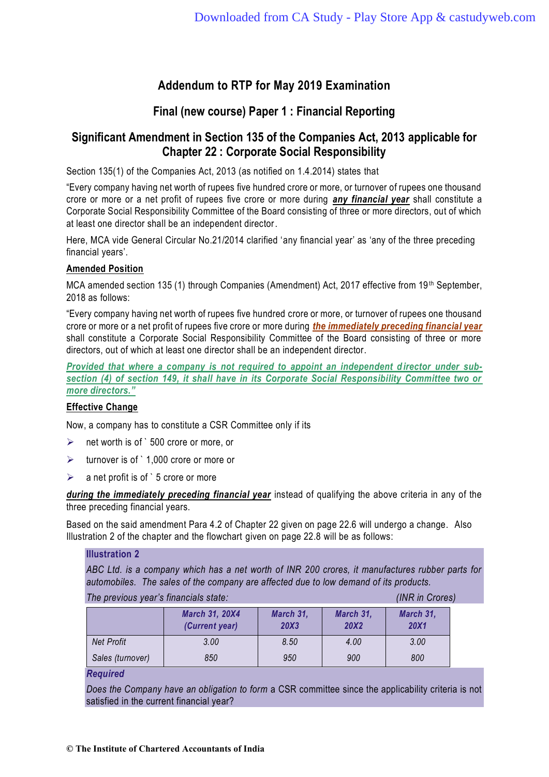# **Addendum to RTP for May 2019 Examination**

### **Final (new course) Paper 1 : Financial Reporting**

## **Significant Amendment in Section 135 of the Companies Act, 2013 applicable for Chapter 22 : Corporate Social Responsibility**

Section 135(1) of the Companies Act, 2013 (as notified on 1.4.2014) states that

"Every company having net worth of rupees five hundred crore or more, or turnover of rupees one thousand crore or more or a net profit of rupees five crore or more during *any financial year* shall constitute a Corporate Social Responsibility Committee of the Board consisting of three or more directors, out of which at least one director shall be an independent director.

Here, MCA vide General Circular No.21/2014 clarified 'any financial year' as 'any of the three preceding financial years'.

### **Amended Position**

MCA amended section 135 (1) through Companies (Amendment) Act, 2017 effective from 19<sup>th</sup> September, 2018 as follows:

"Every company having net worth of rupees five hundred crore or more, or turnover of rupees one thousand crore or more or a net profit of rupees five crore or more during *the immediately preceding financial year* shall constitute a Corporate Social Responsibility Committee of the Board consisting of three or more directors, out of which at least one director shall be an independent director.

*Provided that where a company is not required to appoint an independent director under subsection (4) of section 149, it shall have in its Corporate Social Responsibility Committee two or more directors."*

### **Effective Change**

Now, a company has to constitute a CSR Committee only if its

- $\triangleright$  net worth is of `500 crore or more, or
- ➢ turnover is of ` 1,000 crore or more or
- $\triangleright$  a net profit is of `5 crore or more

*during the immediately preceding financial year* instead of qualifying the above criteria in any of the three preceding financial years.

Based on the said amendment Para 4.2 of Chapter 22 given on page 22.6 will undergo a change. Also Illustration 2 of the chapter and the flowchart given on page 22.8 will be as follows:

#### **Illustration 2**

*ABC Ltd. is a company which has a net worth of INR 200 crores, it manufactures rubber parts for automobiles. The sales of the company are affected due to low demand of its products.* 

| The previous year's financials state: |                                         |                   |                          | (INR in Crores)          |
|---------------------------------------|-----------------------------------------|-------------------|--------------------------|--------------------------|
|                                       | <b>March 31, 20X4</b><br>(Current year) | March 31,<br>20X3 | March 31,<br><b>20X2</b> | March 31,<br><b>20X1</b> |
| <b>Net Profit</b>                     | 3.00                                    | 8.50              | 4.00                     | 3.00                     |
| Sales (turnover)                      | 850                                     | 950               | 900                      | 800                      |

*Required*

*Does the Company have an obligation to form* a CSR committee since the applicability criteria is not satisfied in the current financial year?